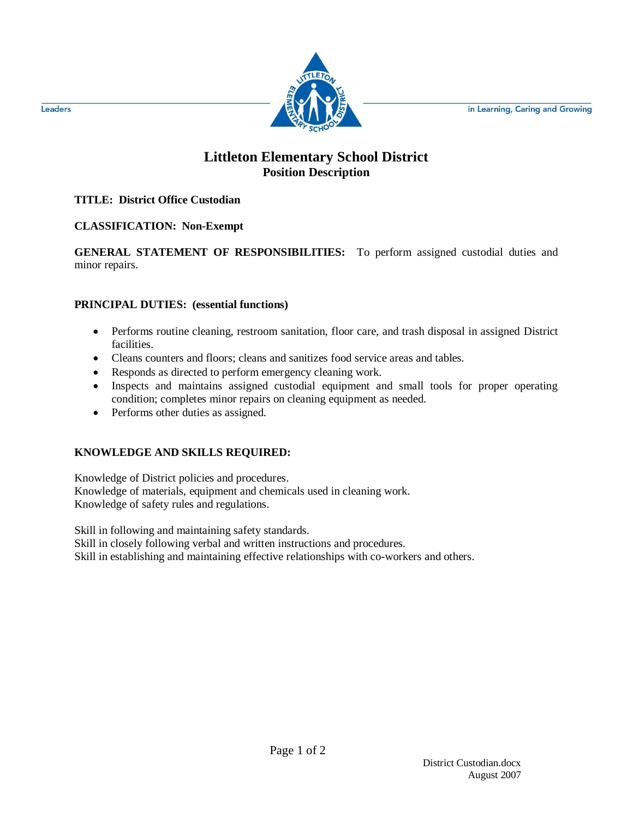in Learning, Caring and Growing



# **Littleton Elementary School District Position Description**

### **TITLE: District Office Custodian**

### **CLASSIFICATION: Non-Exempt**

**GENERAL STATEMENT OF RESPONSIBILITIES:** To perform assigned custodial duties and minor repairs.

### **PRINCIPAL DUTIES: (essential functions)**

- Performs routine cleaning, restroom sanitation, floor care, and trash disposal in assigned District facilities.
- Cleans counters and floors; cleans and sanitizes food service areas and tables.
- Responds as directed to perform emergency cleaning work.
- Inspects and maintains assigned custodial equipment and small tools for proper operating condition; completes minor repairs on cleaning equipment as needed.
- Performs other duties as assigned.

## **KNOWLEDGE AND SKILLS REQUIRED:**

Knowledge of District policies and procedures. Knowledge of materials, equipment and chemicals used in cleaning work. Knowledge of safety rules and regulations.

Skill in following and maintaining safety standards.

Skill in closely following verbal and written instructions and procedures.

Skill in establishing and maintaining effective relationships with co-workers and others.

Leaders